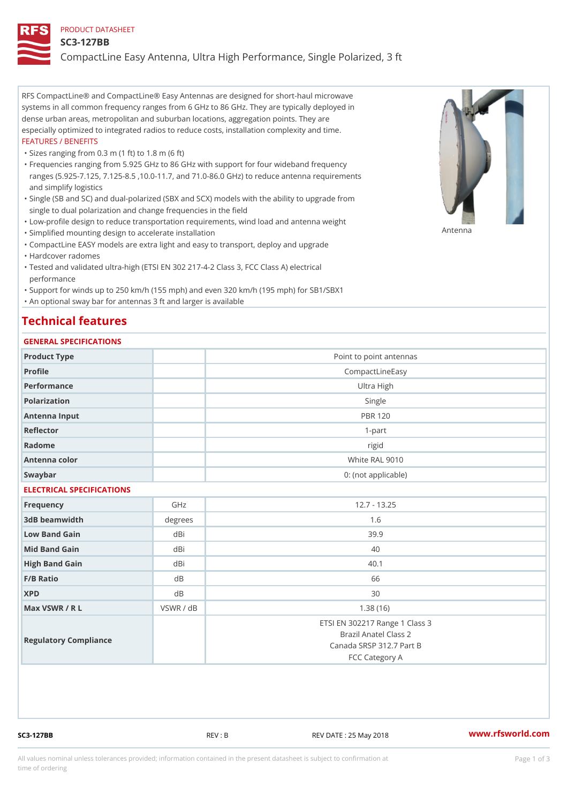#### PRODUCT DATASHEET

#### SC3-127BB

CompactLine Easy Antenna, Ultra High Performance, Single Polarized,

RFS CompactLine® and CompactLine® Easy Antennas are designed for short-haul microwave systems in all common frequency ranges from 6 GHz to 86 GHz. They are typically deployed in dense urban areas, metropolitan and suburban locations, aggregation points. They are especially optimized to integrated radios to reduce costs, installation complexity and time. FEATURES / BENEFITS

"Sizes ranging from 0.3 m (1 ft) to 1.8 m (6 ft)

- Frequencies ranging from 5.925 GHz to 86 GHz with support for four wideband frequency " ranges (5.925-7.125, 7.125-8.5 ,10.0-11.7, and 71.0-86.0 GHz) to reduce antenna requirements and simplify logistics
- Single (SB and SC) and dual-polarized (SBX and SCX) models with the ability to upgrade from " single to dual polarization and change frequencies in the field
- "Low-profile design to reduce transportation requirements, wind load and antenna weight
- "Simplified mounting design to accelerate installation

 "CompactLine EASY models are extra light and easy to transport, deploy and upgrade "Hardcover radomes

Tested and validated ultra-high (ETSI EN 302 217-4-2 Class 3, FCC Class A) electrical " performance

 "Support for winds up to 250 km/h (155 mph) and even 320 km/h (195 mph) for SB1/SBX1 "An optional sway bar for antennas 3 ft and larger is available

# Technical features

## GENERAL SPECIFICATIONS

| GENERAL SELGIFICATIONS    |         |                                                                                                       |  |  |
|---------------------------|---------|-------------------------------------------------------------------------------------------------------|--|--|
| Product Type              |         | Point to point antennas                                                                               |  |  |
| Profile                   |         | CompactLineEasy                                                                                       |  |  |
| Performance               |         | Ultra High                                                                                            |  |  |
| Polarization              |         | Single                                                                                                |  |  |
| Antenna Input             |         | <b>PBR 120</b>                                                                                        |  |  |
| Reflector                 |         | $1 - p$ art                                                                                           |  |  |
| Radome                    |         | rigid                                                                                                 |  |  |
| Antenna color             |         | White RAL 9010                                                                                        |  |  |
| Swaybar                   |         | 0: (not applicable)                                                                                   |  |  |
| ELECTRICAL SPECIFICATIONS |         |                                                                                                       |  |  |
| Frequency                 | GHz     | $12.7 - 13.25$                                                                                        |  |  |
| 3dB beamwidth             | degrees | 1.6                                                                                                   |  |  |
| Low Band Gain             | dBi     | 39.9                                                                                                  |  |  |
| Mid Band Gain             | dBi     | 40                                                                                                    |  |  |
| High Band Gain            | dBi     | 40.1                                                                                                  |  |  |
| $F/B$ Ratio               | $d$ B   | 66                                                                                                    |  |  |
| <b>XPD</b>                | d B     | 30                                                                                                    |  |  |
| Max VSWR / R L            | VSWR /  | $d$ B<br>1.38(16)                                                                                     |  |  |
| Regulatory Compliance     |         | ETSI EN 302217 Range 1 Class 3<br>Brazil Anatel Class 2<br>Canada SRSP 312.7 Part B<br>FCC Category A |  |  |

SC3-127BB REV : B REV DATE : 25 May 2018 [www.](https://www.rfsworld.com)rfsworld.com

Antenna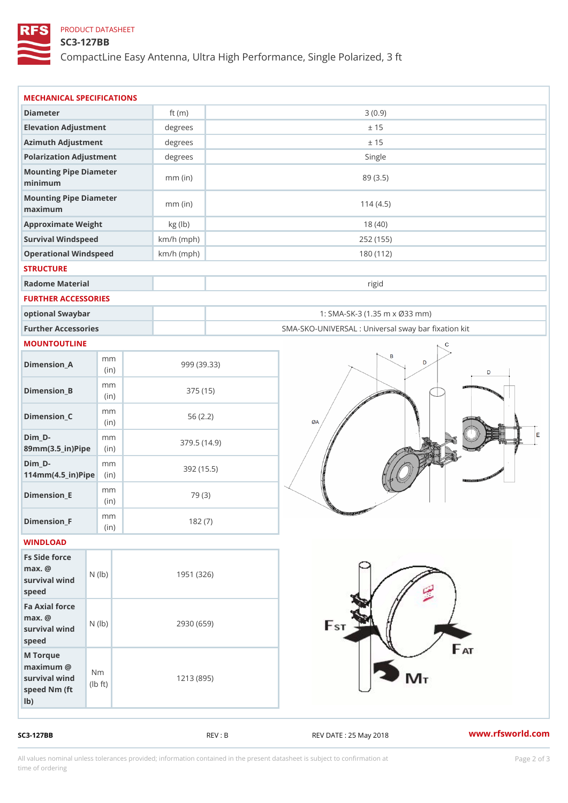## PRODUCT DATASHEET

## SC3-127BB

CompactLine Easy Antenna, Ultra High Performance, Single Polarized,

| MECHANICAL SPECIFICATIONS                                                                                         |              |                                                   |
|-------------------------------------------------------------------------------------------------------------------|--------------|---------------------------------------------------|
| Diameter                                                                                                          | ft $(m)$     | 3(0.9)                                            |
| Elevation Adjustment                                                                                              | degrees      | ± 15                                              |
| Azimuth Adjustment                                                                                                | $degree$ :   | ± 15                                              |
| Polarization Adjustment                                                                                           | degrees      | Single                                            |
| Mounting Pipe Diameter<br>minimum                                                                                 | $mm$ (in)    | 89 (3.5)                                          |
| Mounting Pipe Diameter<br>maximum                                                                                 | $mm$ (in)    | 114(4.5)                                          |
| Approximate Weight                                                                                                | kg (lb)      | 18(40)                                            |
| Survival Windspeed                                                                                                | $km/h$ (mph) | 252 (155)                                         |
| Operational Windspeed                                                                                             | $km/h$ (mph) | 180 (112)                                         |
| <b>STRUCTURE</b>                                                                                                  |              |                                                   |
| Radome Material                                                                                                   |              | rigid                                             |
| FURTHER ACCESSORIES                                                                                               |              |                                                   |
| optional Swaybar                                                                                                  |              | 1: SMA-SK-3 (1.35 m x Ø33 mm)                     |
| Further Accessories                                                                                               |              | SMA-SKO-UNIVERSAL : Universal sway bar fixation I |
| MOUNTOUTLINE                                                                                                      |              |                                                   |
| m m<br>$D$ imension $\_$ A<br>(in)                                                                                |              | 999 (39.33)                                       |
| m m<br>$Dimenision_B$<br>(in)                                                                                     |              | 375 (15)                                          |
| m m<br>$Dimension_C$<br>(in)                                                                                      |              | 56(2.2)                                           |
| $Dim_D - D -$<br>m m<br>89mm (3.5_in) Pi(pine)                                                                    |              | 379.5(14.9)                                       |
| $Dim_D -$<br>m m<br>$114$ m m $(4.5$ ir $)$ $R$ ii p $e$                                                          |              | 392(15.5)                                         |
| m m<br>$Dimension$ _ $E$<br>(in)                                                                                  |              | 79 (3)                                            |
| m m<br>$Dimension_F$<br>(in)                                                                                      |              | 182(7)                                            |
| WINDLOAD                                                                                                          |              |                                                   |
| Fs Side force<br>$max.$ @<br>survival $w \nmid N$ ( $ b$ )<br>speed                                               |              | 1951 (326)                                        |
| Fa Axial force<br>$max.$ @<br>survival $w \mid N \mid (1 b)$<br>speed                                             |              | 2930 (659)                                        |
| M Torque<br>$maximum$ @<br>N <sub>m</sub><br>survival wind<br>$\vert t \rangle$<br>I b<br>speed Nm (ft)<br>$1b$ ) |              | 1213 (895)                                        |

SC3-127BB REV : B REV : REV DATE : 25 May 2018 WWW.rfsworld.com